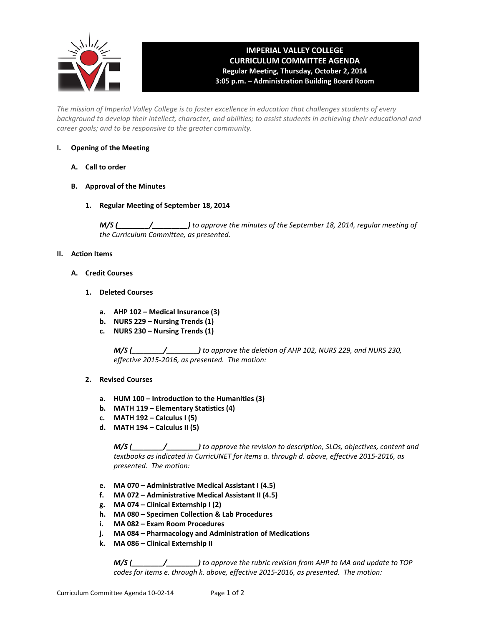

# **IMPERIAL VALLEY COLLEGE CURRICULUM COMMITTEE AGENDA Regular Meeting, Thursday, October 2, 2014 3:05 p.m. – Administration Building Board Room**

*The mission of Imperial Valley College is to foster excellence in education that challenges students of every background to develop their intellect, character, and abilities; to assist students in achieving their educational and career goals; and to be responsive to the greater community.*

## **I. Opening of the Meeting**

- **A. Call to order**
- **B. Approval of the Minutes**
	- **1. Regular Meeting of September 18, 2014**

*M/S (\_\_\_\_\_\_\_\_/\_\_\_\_\_\_\_\_\_) to approve the minutes of the September 18, 2014, regular meeting of the Curriculum Committee, as presented.* 

## **II. Action Items**

- **A. Credit Courses**
	- **1. Deleted Courses**
		- **a. AHP 102 – Medical Insurance (3)**
		- **b. NURS 229 – Nursing Trends (1)**
		- **c. NURS 230 – Nursing Trends (1)**

*M/S (\_\_\_\_\_\_\_\_/\_\_\_\_\_\_\_\_) to approve the deletion of AHP 102, NURS 229, and NURS 230, effective 2015-2016, as presented. The motion:*

- **2. Revised Courses**
	- **a. HUM 100 – Introduction to the Humanities (3)**
	- **b. MATH 119 – Elementary Statistics (4)**
	- **c. MATH 192 – Calculus I (5)**
	- **d. MATH 194 – Calculus II (5)**

*M/S (\_\_\_\_\_\_\_\_/\_\_\_\_\_\_\_\_) to approve the revision to description, SLOs, objectives, content and textbooks as indicated in CurricUNET for items a. through d. above, effective 2015-2016, as presented. The motion:*

- **e. MA 070 – Administrative Medical Assistant I (4.5)**
- **f. MA 072 – Administrative Medical Assistant II (4.5)**
- **g. MA 074 – Clinical Externship I (2)**
- **h. MA 080 – Specimen Collection & Lab Procedures**
- **i. MA 082 – Exam Room Procedures**
- **j. MA 084 – Pharmacology and Administration of Medications**
- **k. MA 086 – Clinical Externship II**

*M/S (\_\_\_\_\_\_\_\_/\_\_\_\_\_\_\_\_) to approve the rubric revision from AHP to MA and update to TOP codes for items e. through k. above, effective 2015-2016, as presented. The motion:*